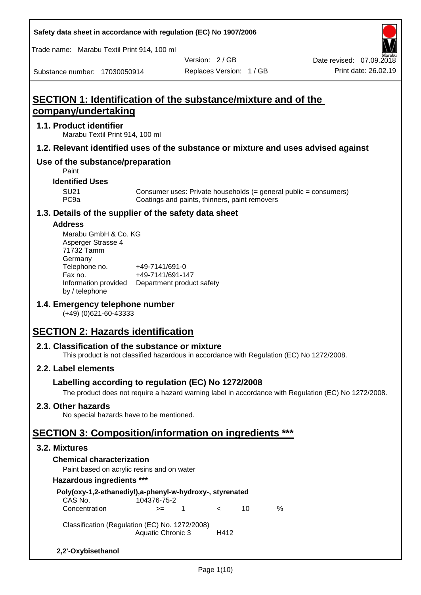**Safety data sheet in accordance with regulation (EC) No 1907/2006**

Trade name: Marabu Textil Print 914, 100 ml

Substance number: 17030050914

Version: 2 / GB

Replaces Version: 1 / GB Print date: 26.02.19 Date revised: 07.09.2018

# **SECTION 1: Identification of the substance/mixture and of the company/undertaking**

## **1.1. Product identifier**

Marabu Textil Print 914, 100 ml

## **1.2. Relevant identified uses of the substance or mixture and uses advised against**

## **Use of the substance/preparation**

Paint

## **Identified Uses**

SU21 Consumer uses: Private households (= general public = consumers)<br>PC9a Coatings and paints, thinners, paint removers Coatings and paints, thinners, paint removers

## **1.3. Details of the supplier of the safety data sheet**

### **Address**

| Marabu GmbH & Co. KG |                           |
|----------------------|---------------------------|
| Asperger Strasse 4   |                           |
| 71732 Tamm           |                           |
| Germany              |                           |
| Telephone no.        | +49-7141/691-0            |
| Fax no.              | +49-7141/691-147          |
| Information provided | Department product safety |
| by / telephone       |                           |

## **1.4. Emergency telephone number**

(+49) (0)621-60-43333

# **SECTION 2: Hazards identification**

## **2.1. Classification of the substance or mixture**

This product is not classified hazardous in accordance with Regulation (EC) No 1272/2008.

## **2.2. Label elements**

## **Labelling according to regulation (EC) No 1272/2008**

The product does not require a hazard warning label in accordance with Regulation (EC) No 1272/2008.

## **2.3. Other hazards**

No special hazards have to be mentioned.

# **SECTION 3: Composition/information on ingredients \*\*\***

### **3.2. Mixtures**

## **Chemical characterization**

Paint based on acrylic resins and on water

### **Hazardous ingredients \*\*\***

| Poly(oxy-1,2-ethanediyl),a-phenyl-w-hydroxy-, styrenated |             |    |            |    |   |  |
|----------------------------------------------------------|-------------|----|------------|----|---|--|
| CAS No.                                                  | 104376-75-2 |    |            |    |   |  |
| Concentration                                            | $>=$        | -1 | $\epsilon$ | 10 | ℅ |  |
| Classification (Regulation (EC) No. 1272/2008)           |             |    |            |    |   |  |
| <b>Aquatic Chronic 3</b><br>H412                         |             |    |            |    |   |  |
| 2,2'-Oxybisethanol                                       |             |    |            |    |   |  |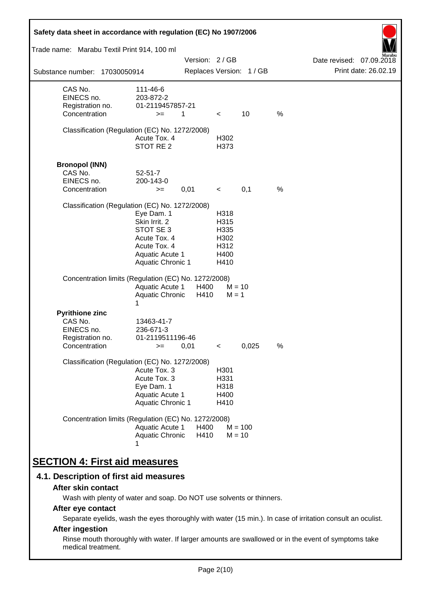| Safety data sheet in accordance with regulation (EC) No 1907/2006                    |                                                                                                                         |               |                                                      |                          |   |                                                  |
|--------------------------------------------------------------------------------------|-------------------------------------------------------------------------------------------------------------------------|---------------|------------------------------------------------------|--------------------------|---|--------------------------------------------------|
| Trade name: Marabu Textil Print 914, 100 ml                                          |                                                                                                                         |               |                                                      |                          |   |                                                  |
| Substance number: 17030050914                                                        |                                                                                                                         | Version: 2/GB |                                                      | Replaces Version: 1 / GB |   | Date revised: 07.09.2018<br>Print date: 26.02.19 |
| CAS No.<br>EINECS no.<br>Registration no.<br>Concentration                           | 111-46-6<br>203-872-2<br>01-2119457857-21<br>$>=$                                                                       | 1             | $\lt$                                                | 10                       | % |                                                  |
| Classification (Regulation (EC) No. 1272/2008)                                       | Acute Tox. 4<br>STOT RE 2                                                                                               |               | H302<br>H373                                         |                          |   |                                                  |
| <b>Bronopol (INN)</b><br>CAS No.<br>EINECS no.<br>Concentration                      | $52 - 51 - 7$<br>200-143-0<br>$>=$                                                                                      | 0,01          | $\prec$                                              | 0,1                      | % |                                                  |
| Classification (Regulation (EC) No. 1272/2008)                                       | Eye Dam. 1<br>Skin Irrit. 2<br>STOT SE 3<br>Acute Tox. 4<br>Acute Tox. 4<br>Aquatic Acute 1<br><b>Aquatic Chronic 1</b> |               | H318<br>H315<br>H335<br>H302<br>H312<br>H400<br>H410 |                          |   |                                                  |
| Concentration limits (Regulation (EC) No. 1272/2008)                                 | <b>Aquatic Acute 1</b><br>Aquatic Chronic<br>1                                                                          | H400<br>H410  | $M = 1$                                              | $M = 10$                 |   |                                                  |
| <b>Pyrithione zinc</b><br>CAS No.<br>EINECS no.<br>Registration no.<br>Concentration | 13463-41-7<br>236-671-3<br>01-2119511196-46<br>$>=$                                                                     | 0,01          | $\,<\,$                                              | 0,025                    | % |                                                  |
| Classification (Regulation (EC) No. 1272/2008)                                       | Acute Tox. 3<br>Acute Tox. 3<br>Eye Dam. 1<br><b>Aquatic Acute 1</b><br>Aquatic Chronic 1                               |               | H <sub>301</sub><br>H331<br>H318<br>H400<br>H410     |                          |   |                                                  |
| Concentration limits (Regulation (EC) No. 1272/2008)                                 | Aquatic Acute 1<br>Aquatic Chronic                                                                                      | H400<br>H410  |                                                      | $M = 100$<br>$M = 10$    |   |                                                  |
| <b>SECTION 4: First aid measures</b>                                                 |                                                                                                                         |               |                                                      |                          |   |                                                  |

## **4.1. Description of first aid measures**

### **After skin contact**

Wash with plenty of water and soap. Do NOT use solvents or thinners.

## **After eye contact**

Separate eyelids, wash the eyes thoroughly with water (15 min.). In case of irritation consult an oculist.

## **After ingestion**

Rinse mouth thoroughly with water. If larger amounts are swallowed or in the event of symptoms take medical treatment.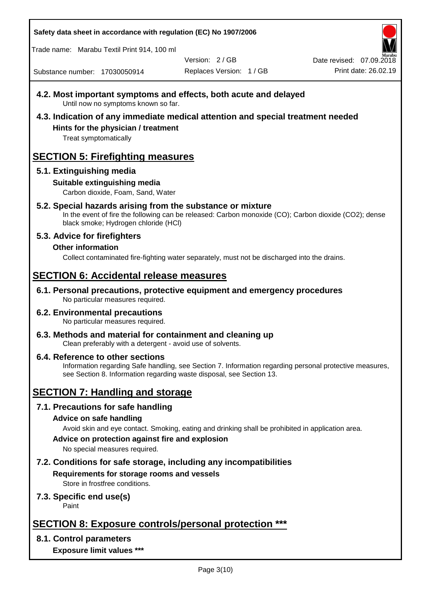**Safety data sheet in accordance with regulation (EC) No 1907/2006**

Trade name: Marabu Textil Print 914, 100 ml

Version: 2 / GB

Replaces Version: 1 / GB Print date: 26.02.19 Date revised: 07.09.2018

Substance number: 17030050914

- **4.2. Most important symptoms and effects, both acute and delayed** Until now no symptoms known so far.
- **4.3. Indication of any immediate medical attention and special treatment needed Hints for the physician / treatment**

Treat symptomatically

# **SECTION 5: Firefighting measures**

## **5.1. Extinguishing media**

## **Suitable extinguishing media**

Carbon dioxide, Foam, Sand, Water

## **5.2. Special hazards arising from the substance or mixture**

In the event of fire the following can be released: Carbon monoxide (CO); Carbon dioxide (CO2); dense black smoke; Hydrogen chloride (HCl)

## **5.3. Advice for firefighters**

**Other information**

Collect contaminated fire-fighting water separately, must not be discharged into the drains.

# **SECTION 6: Accidental release measures**

**6.1. Personal precautions, protective equipment and emergency procedures** No particular measures required.

#### **6.2. Environmental precautions** No particular measures required.

**6.3. Methods and material for containment and cleaning up** Clean preferably with a detergent - avoid use of solvents.

### **6.4. Reference to other sections** Information regarding Safe handling, see Section 7. Information regarding personal protective measures, see Section 8. Information regarding waste disposal, see Section 13.

# **SECTION 7: Handling and storage**

**7.1. Precautions for safe handling**

## **Advice on safe handling**

Avoid skin and eye contact. Smoking, eating and drinking shall be prohibited in application area.

**Advice on protection against fire and explosion**

No special measures required.

**7.2. Conditions for safe storage, including any incompatibilities Requirements for storage rooms and vessels**

Store in frostfree conditions.

## **7.3. Specific end use(s)**

Paint

# **SECTION 8: Exposure controls/personal protection \*\*\***

## **8.1. Control parameters**

**Exposure limit values \*\*\***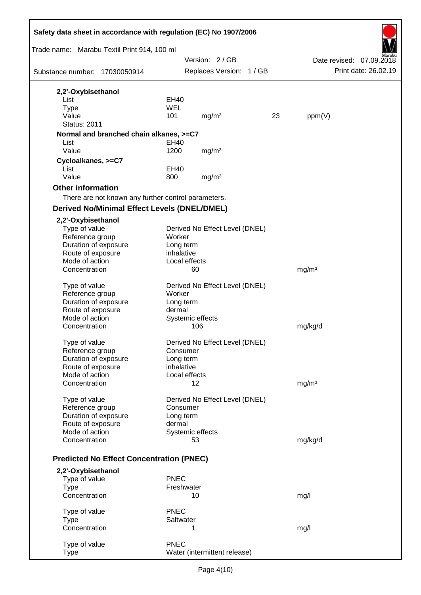| Safety data sheet in accordance with regulation (EC) No 1907/2006 |               |                                |    |                   |                          |
|-------------------------------------------------------------------|---------------|--------------------------------|----|-------------------|--------------------------|
| Trade name: Marabu Textil Print 914, 100 ml                       |               |                                |    |                   |                          |
|                                                                   |               | Version: 2/GB                  |    |                   | Date revised: 07.09.2018 |
| Substance number: 17030050914                                     |               | Replaces Version: 1 / GB       |    |                   | Print date: 26.02.19     |
| 2,2'-Oxybisethanol                                                |               |                                |    |                   |                          |
| List                                                              | EH40          |                                |    |                   |                          |
| <b>Type</b><br>Value                                              | WEL           |                                |    |                   |                          |
| <b>Status: 2011</b>                                               | 101           | mg/m <sup>3</sup>              | 23 | ppm(V)            |                          |
|                                                                   |               |                                |    |                   |                          |
| Normal and branched chain alkanes, >=C7<br>List                   | EH40          |                                |    |                   |                          |
| Value                                                             | 1200          | mg/m <sup>3</sup>              |    |                   |                          |
| Cycloalkanes, >=C7                                                |               |                                |    |                   |                          |
| List                                                              | EH40          |                                |    |                   |                          |
| Value                                                             | 800           | mg/m <sup>3</sup>              |    |                   |                          |
| <b>Other information</b>                                          |               |                                |    |                   |                          |
| There are not known any further control parameters.               |               |                                |    |                   |                          |
| <b>Derived No/Minimal Effect Levels (DNEL/DMEL)</b>               |               |                                |    |                   |                          |
| 2,2'-Oxybisethanol                                                |               |                                |    |                   |                          |
| Type of value                                                     |               | Derived No Effect Level (DNEL) |    |                   |                          |
| Reference group                                                   | Worker        |                                |    |                   |                          |
| Duration of exposure                                              | Long term     |                                |    |                   |                          |
| Route of exposure                                                 | inhalative    |                                |    |                   |                          |
| Mode of action                                                    | Local effects |                                |    |                   |                          |
| Concentration                                                     |               | 60                             |    | mg/m <sup>3</sup> |                          |
| Type of value                                                     |               | Derived No Effect Level (DNEL) |    |                   |                          |
| Reference group                                                   | Worker        |                                |    |                   |                          |
| Duration of exposure                                              | Long term     |                                |    |                   |                          |
| Route of exposure                                                 | dermal        |                                |    |                   |                          |
| Mode of action                                                    |               | Systemic effects               |    |                   |                          |
| Concentration                                                     |               | 106                            |    | mg/kg/d           |                          |
| Type of value                                                     |               | Derived No Effect Level (DNEL) |    |                   |                          |
| Reference group                                                   | Consumer      |                                |    |                   |                          |
| Duration of exposure                                              | Long term     |                                |    |                   |                          |
| Route of exposure                                                 | inhalative    |                                |    |                   |                          |
| Mode of action                                                    | Local effects |                                |    |                   |                          |
| Concentration                                                     |               | 12                             |    | mg/m <sup>3</sup> |                          |
| Type of value                                                     |               | Derived No Effect Level (DNEL) |    |                   |                          |
| Reference group                                                   | Consumer      |                                |    |                   |                          |
| Duration of exposure                                              | Long term     |                                |    |                   |                          |
| Route of exposure                                                 | dermal        |                                |    |                   |                          |
| Mode of action                                                    |               | Systemic effects               |    |                   |                          |
| Concentration                                                     |               | 53                             |    | mg/kg/d           |                          |
| <b>Predicted No Effect Concentration (PNEC)</b>                   |               |                                |    |                   |                          |
| 2,2'-Oxybisethanol                                                |               |                                |    |                   |                          |
| Type of value                                                     | <b>PNEC</b>   |                                |    |                   |                          |
| <b>Type</b>                                                       | Freshwater    |                                |    |                   |                          |
| Concentration                                                     |               | 10                             |    | mg/l              |                          |
| Type of value                                                     | <b>PNEC</b>   |                                |    |                   |                          |
| <b>Type</b>                                                       | Saltwater     |                                |    |                   |                          |
| Concentration                                                     |               | 1                              |    | mg/l              |                          |
|                                                                   |               |                                |    |                   |                          |
| Type of value                                                     | <b>PNEC</b>   |                                |    |                   |                          |
| Type                                                              |               | Water (intermittent release)   |    |                   |                          |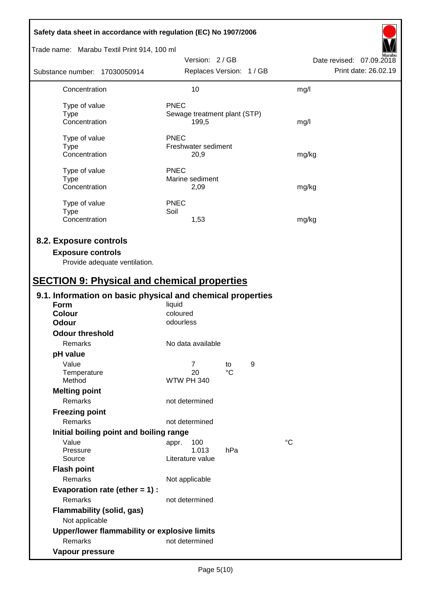| Safety data sheet in accordance with regulation (EC) No 1907/2006                                                                         |                                                      |                   |   |                                                  |
|-------------------------------------------------------------------------------------------------------------------------------------------|------------------------------------------------------|-------------------|---|--------------------------------------------------|
| Trade name: Marabu Textil Print 914, 100 ml                                                                                               |                                                      |                   |   |                                                  |
| Substance number: 17030050914                                                                                                             | Version: 2/GB<br>Replaces Version: 1 / GB            |                   |   | Date revised: 07.09.2018<br>Print date: 26.02.19 |
| Concentration                                                                                                                             | 10                                                   |                   |   | mg/l                                             |
| Type of value<br><b>Type</b><br>Concentration                                                                                             | <b>PNEC</b><br>Sewage treatment plant (STP)<br>199,5 |                   |   | mg/l                                             |
| Type of value<br><b>Type</b><br>Concentration                                                                                             | <b>PNEC</b><br>Freshwater sediment<br>20,9           |                   |   | mg/kg                                            |
| Type of value<br><b>Type</b><br>Concentration                                                                                             | <b>PNEC</b><br>Marine sediment<br>2,09               |                   |   | mg/kg                                            |
| Type of value<br><b>Type</b><br>Concentration                                                                                             | <b>PNEC</b><br>Soil<br>1,53                          |                   |   | mg/kg                                            |
| 8.2. Exposure controls<br><b>Exposure controls</b><br>Provide adequate ventilation.<br><b>SECTION 9: Physical and chemical properties</b> |                                                      |                   |   |                                                  |
| 9.1. Information on basic physical and chemical properties                                                                                |                                                      |                   |   |                                                  |
| Form<br><b>Colour</b><br><b>Odour</b>                                                                                                     | liquid<br>coloured<br>odourless                      |                   |   |                                                  |
| <b>Odour threshold</b><br>Remarks                                                                                                         | No data available                                    |                   |   |                                                  |
| pH value                                                                                                                                  |                                                      |                   |   |                                                  |
| Value<br>Temperature<br>Method                                                                                                            | $\overline{7}$<br>20<br><b>WTW PH 340</b>            | to<br>$^{\circ}C$ | 9 |                                                  |
| <b>Melting point</b><br>Remarks                                                                                                           | not determined                                       |                   |   |                                                  |
| <b>Freezing point</b><br>Remarks                                                                                                          | not determined                                       |                   |   |                                                  |
| Initial boiling point and boiling range                                                                                                   |                                                      |                   |   |                                                  |
| Value<br>Pressure<br>Source                                                                                                               | 100<br>appr.<br>1.013<br>Literature value            | hPa               |   | $^{\circ}C$                                      |
| <b>Flash point</b><br>Remarks                                                                                                             | Not applicable                                       |                   |   |                                                  |
| Evaporation rate (ether $= 1$ ) :<br>Remarks<br><b>Flammability (solid, gas)</b><br>Not applicable                                        | not determined                                       |                   |   |                                                  |
| Upper/lower flammability or explosive limits                                                                                              |                                                      |                   |   |                                                  |
| Remarks                                                                                                                                   | not determined                                       |                   |   |                                                  |
| Vapour pressure                                                                                                                           |                                                      |                   |   |                                                  |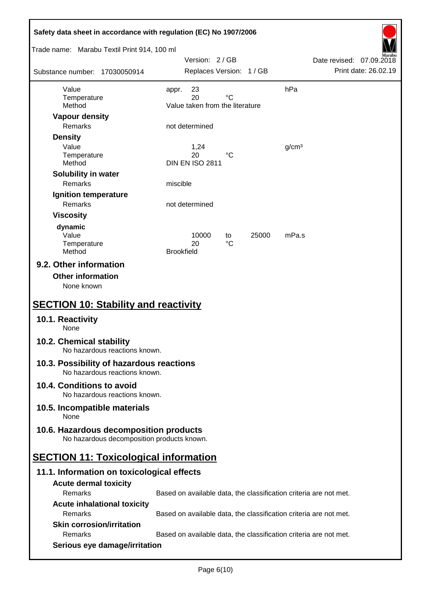| Safety data sheet in accordance with regulation (EC) No 1907/2006                     |                   |                                       |             |       |                   |                                                                   |                      |
|---------------------------------------------------------------------------------------|-------------------|---------------------------------------|-------------|-------|-------------------|-------------------------------------------------------------------|----------------------|
| Trade name: Marabu Textil Print 914, 100 ml                                           |                   | Version: 2/GB                         |             |       |                   | Date revised: 07.09.2018                                          |                      |
| Substance number: 17030050914                                                         |                   | Replaces Version: 1 / GB              |             |       |                   |                                                                   | Print date: 26.02.19 |
| Value                                                                                 | appr.             | 23                                    |             |       | hPa               |                                                                   |                      |
| Temperature<br>Method                                                                 |                   | 20<br>Value taken from the literature | $^{\circ}C$ |       |                   |                                                                   |                      |
| <b>Vapour density</b>                                                                 |                   |                                       |             |       |                   |                                                                   |                      |
| <b>Remarks</b>                                                                        |                   | not determined                        |             |       |                   |                                                                   |                      |
| <b>Density</b>                                                                        |                   |                                       |             |       |                   |                                                                   |                      |
| Value                                                                                 |                   | 1,24                                  |             |       | g/cm <sup>3</sup> |                                                                   |                      |
| Temperature<br>Method                                                                 |                   | 20<br><b>DIN EN ISO 2811</b>          | °C          |       |                   |                                                                   |                      |
| Solubility in water                                                                   |                   |                                       |             |       |                   |                                                                   |                      |
| <b>Remarks</b>                                                                        | miscible          |                                       |             |       |                   |                                                                   |                      |
| Ignition temperature                                                                  |                   |                                       |             |       |                   |                                                                   |                      |
| Remarks                                                                               |                   | not determined                        |             |       |                   |                                                                   |                      |
| <b>Viscosity</b>                                                                      |                   |                                       |             |       |                   |                                                                   |                      |
| dynamic                                                                               |                   |                                       |             |       |                   |                                                                   |                      |
| Value<br>Temperature                                                                  |                   | 10000<br>20                           | to<br>°C    | 25000 | mPa.s             |                                                                   |                      |
| Method                                                                                | <b>Brookfield</b> |                                       |             |       |                   |                                                                   |                      |
| <b>Other information</b><br>None known<br><b>SECTION 10: Stability and reactivity</b> |                   |                                       |             |       |                   |                                                                   |                      |
| 10.1. Reactivity<br>None                                                              |                   |                                       |             |       |                   |                                                                   |                      |
| 10.2. Chemical stability<br>No hazardous reactions known.                             |                   |                                       |             |       |                   |                                                                   |                      |
| 10.3. Possibility of hazardous reactions<br>No hazardous reactions known.             |                   |                                       |             |       |                   |                                                                   |                      |
| 10.4. Conditions to avoid<br>No hazardous reactions known.                            |                   |                                       |             |       |                   |                                                                   |                      |
| 10.5. Incompatible materials<br>None                                                  |                   |                                       |             |       |                   |                                                                   |                      |
| 10.6. Hazardous decomposition products<br>No hazardous decomposition products known.  |                   |                                       |             |       |                   |                                                                   |                      |
| <b>SECTION 11: Toxicological information</b>                                          |                   |                                       |             |       |                   |                                                                   |                      |
| 11.1. Information on toxicological effects                                            |                   |                                       |             |       |                   |                                                                   |                      |
| <b>Acute dermal toxicity</b>                                                          |                   |                                       |             |       |                   |                                                                   |                      |
| Remarks                                                                               |                   |                                       |             |       |                   | Based on available data, the classification criteria are not met. |                      |
| <b>Acute inhalational toxicity</b>                                                    |                   |                                       |             |       |                   |                                                                   |                      |
| Remarks                                                                               |                   |                                       |             |       |                   | Based on available data, the classification criteria are not met. |                      |
| <b>Skin corrosion/irritation</b><br>Remarks                                           |                   |                                       |             |       |                   |                                                                   |                      |
| Serious eye damage/irritation                                                         |                   |                                       |             |       |                   | Based on available data, the classification criteria are not met. |                      |
|                                                                                       |                   |                                       |             |       |                   |                                                                   |                      |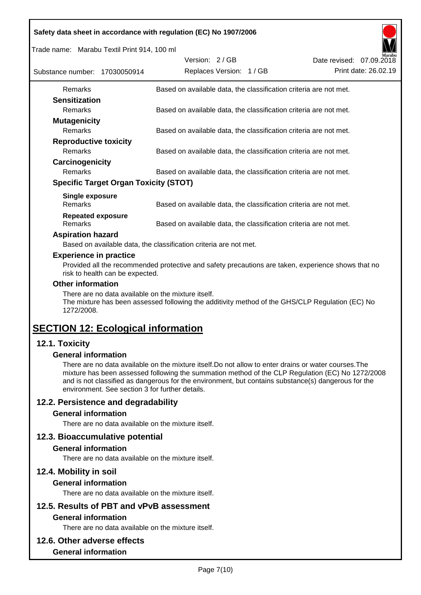|  |  | Safety data sheet in accordance with regulation (EC) No 1907/2006 |
|--|--|-------------------------------------------------------------------|
|  |  |                                                                   |

Trade name: Marabu Textil Print 914, 100 ml

| Substance number: 17030050914       |                                              | Version: 2/GB | Replaces Version: 1 / GB |                                                                   | Date revised: 07.09.2018 | Marabu<br>Print date: 26.02.19 |
|-------------------------------------|----------------------------------------------|---------------|--------------------------|-------------------------------------------------------------------|--------------------------|--------------------------------|
| Remarks                             |                                              |               |                          | Based on available data, the classification criteria are not met. |                          |                                |
| <b>Sensitization</b>                |                                              |               |                          |                                                                   |                          |                                |
| <b>Remarks</b>                      |                                              |               |                          | Based on available data, the classification criteria are not met. |                          |                                |
| <b>Mutagenicity</b>                 |                                              |               |                          |                                                                   |                          |                                |
| <b>Remarks</b>                      |                                              |               |                          | Based on available data, the classification criteria are not met. |                          |                                |
| <b>Reproductive toxicity</b>        |                                              |               |                          |                                                                   |                          |                                |
| <b>Remarks</b>                      |                                              |               |                          | Based on available data, the classification criteria are not met. |                          |                                |
| Carcinogenicity                     |                                              |               |                          |                                                                   |                          |                                |
| <b>Remarks</b>                      |                                              |               |                          | Based on available data, the classification criteria are not met. |                          |                                |
|                                     | <b>Specific Target Organ Toxicity (STOT)</b> |               |                          |                                                                   |                          |                                |
| Single exposure<br><b>Remarks</b>   |                                              |               |                          | Based on available data, the classification criteria are not met. |                          |                                |
| <b>Repeated exposure</b><br>Remarks |                                              |               |                          | Based on available data, the classification criteria are not met. |                          |                                |

### **Aspiration hazard**

Based on available data, the classification criteria are not met.

### **Experience in practice**

Provided all the recommended protective and safety precautions are taken, experience shows that no risk to health can be expected.

### **Other information**

There are no data available on the mixture itself.

The mixture has been assessed following the additivity method of the GHS/CLP Regulation (EC) No 1272/2008.

# **SECTION 12: Ecological information**

## **12.1. Toxicity**

### **General information**

There are no data available on the mixture itself.Do not allow to enter drains or water courses.The mixture has been assessed following the summation method of the CLP Regulation (EC) No 1272/2008 and is not classified as dangerous for the environment, but contains substance(s) dangerous for the environment. See section 3 for further details.

## **12.2. Persistence and degradability**

### **General information**

There are no data available on the mixture itself.

### **12.3. Bioaccumulative potential**

### **General information**

There are no data available on the mixture itself.

### **12.4. Mobility in soil**

### **General information**

There are no data available on the mixture itself.

# **12.5. Results of PBT and vPvB assessment**

## **General information**

There are no data available on the mixture itself.

### **12.6. Other adverse effects**

### **General information**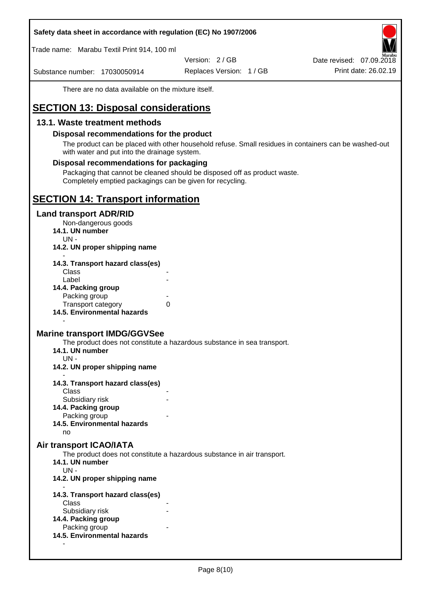### **Safety data sheet in accordance with regulation (EC) No 1907/2006**

Trade name: Marabu Textil Print 914, 100 ml

Version: 2 / GB

Substance number: 17030050914

Replaces Version: 1 / GB Print date: 26.02.19 Date revised: 07.09.2018

There are no data available on the mixture itself.

# **SECTION 13: Disposal considerations**

## **13.1. Waste treatment methods**

### **Disposal recommendations for the product**

The product can be placed with other household refuse. Small residues in containers can be washed-out with water and put into the drainage system.

### **Disposal recommendations for packaging**

Packaging that cannot be cleaned should be disposed off as product waste. Completely emptied packagings can be given for recycling.

## **SECTION 14: Transport information**

### **Land transport ADR/RID**

Non-dangerous goods

- **14.1. UN number**
	- UN -
- **14.2. UN proper shipping name**

| 14.3. Transport hazard class(es) |   |
|----------------------------------|---|
| Class                            |   |
| Label                            |   |
| 14.4. Packing group              |   |
| Packing group                    |   |
| <b>Transport category</b>        | 0 |
| 14.5. Environmental hazards      |   |

### **Marine transport IMDG/GGVSee**

The product does not constitute a hazardous substance in sea transport.

- **14.1. UN number**
- UN -

-

- **14.2. UN proper shipping name**
- **14.3. Transport hazard class(es) Class** 
	- Subsidiary risk
- **14.4. Packing group**
	- Packing group
- **14.5. Environmental hazards**

no

### **Air transport ICAO/IATA**

The product does not constitute a hazardous substance in air transport.

- **14.1. UN number**
- UN -

-

**14.2. UN proper shipping name**

- **14.3. Transport hazard class(es)** Class Subsidiary risk **14.4. Packing group** Packing group **14.5. Environmental hazards**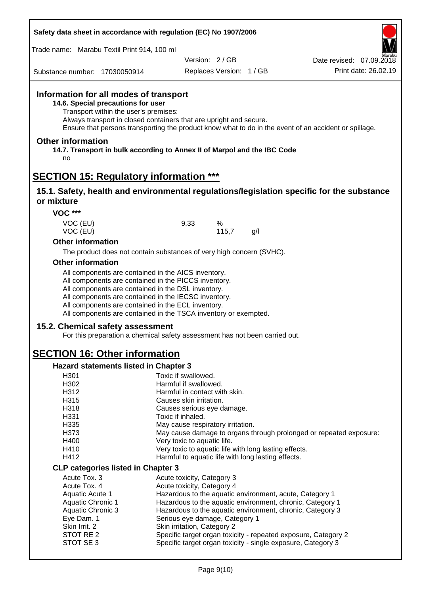| Safety data sheet in accordance with regulation (EC) No 1907/2006 |  |
|-------------------------------------------------------------------|--|
|-------------------------------------------------------------------|--|

Trade name: Marabu Textil Print 914, 100 ml

Version: 2 / GB

Replaces Version: 1 / GB Print date: 26.02.19 Date revised: 07.09.2018

Substance number: 17030050914

## **Information for all modes of transport**

**14.6. Special precautions for user**

Transport within the user's premises:

Always transport in closed containers that are upright and secure.

Ensure that persons transporting the product know what to do in the event of an accident or spillage.

### **Other information**

**14.7. Transport in bulk according to Annex II of Marpol and the IBC Code** no

## **SECTION 15: Regulatory information \*\*\***

### **15.1. Safety, health and environmental regulations/legislation specific for the substance or mixture**

**VOC \*\*\***

VOC (EU) 9,33 % VOC (EU) 115,7 g/l

### **Other information**

The product does not contain substances of very high concern (SVHC).

### **Other information**

All components are contained in the AICS inventory.

All components are contained in the PICCS inventory.

All components are contained in the DSL inventory.

All components are contained in the IECSC inventory.

All components are contained in the ECL inventory.

All components are contained in the TSCA inventory or exempted.

### **15.2. Chemical safety assessment**

For this preparation a chemical safety assessment has not been carried out.

# **SECTION 16: Other information**

### **Hazard statements listed in Chapter 3**

| H301                                      | Toxic if swallowed.                                                |
|-------------------------------------------|--------------------------------------------------------------------|
| H302                                      | Harmful if swallowed.                                              |
| H312                                      | Harmful in contact with skin.                                      |
| H315                                      | Causes skin irritation.                                            |
| H318                                      | Causes serious eye damage.                                         |
| H331                                      | Toxic if inhaled.                                                  |
| H335                                      | May cause respiratory irritation.                                  |
| H373                                      | May cause damage to organs through prolonged or repeated exposure: |
| H400                                      | Very toxic to aquatic life.                                        |
| H410                                      | Very toxic to aquatic life with long lasting effects.              |
| H412                                      | Harmful to aquatic life with long lasting effects.                 |
| <b>CLP categories listed in Chapter 3</b> |                                                                    |
| Acute Tox, 3                              | Acute toxicity, Category 3                                         |
| Acute Tox, 4                              | Acute toxicity, Category 4                                         |
| Aquatic Acute 1                           | Hazardous to the aquatic environment, acute, Category 1            |
| <b>Aquatic Chronic 1</b>                  | Hazardous to the aquatic environment, chronic, Category 1          |
| Aquatic Chronic 3                         | Hazardous to the aquatic environment, chronic, Category 3          |
| Eye Dam. 1                                | Serious eye damage, Category 1                                     |
| Skin Irrit. 2                             | Skin irritation, Category 2                                        |
| STOT RE 2                                 | Specific target organ toxicity - repeated exposure, Category 2     |
| STOT SE3                                  | Specific target organ toxicity - single exposure, Category 3       |